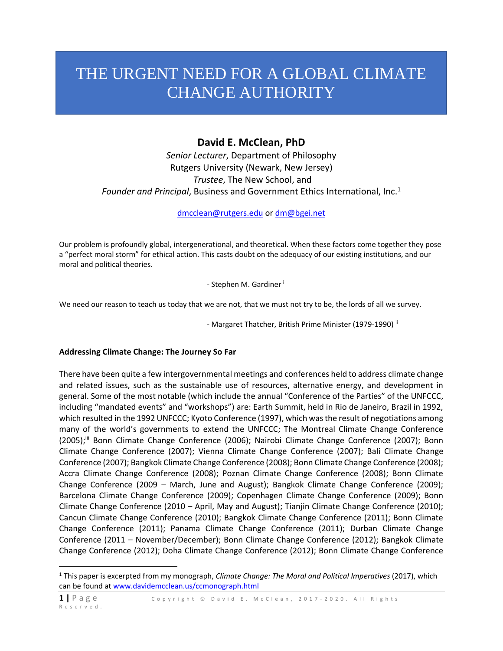# THE URGENT NEED FOR A GLOBAL CLIMATE CHANGE AUTHORITY

# **David E. McClean, PhD**

*Senior Lecturer*, Department of Philosophy Rutgers University (Newark, New Jersey) *Trustee*, The New School, and *Founder and Principal*, Business and Government Ethics International, Inc.<sup>1</sup>

[dmcclean@rutgers.edu](mailto:dmcclean@rutgers.edu) or [dm@bgei.net](mailto:dm@bgei.net)

Our problem is profoundly global, intergenerational, and theoretical. When these factors come together they pose a "perfect moral storm" for ethical action. This casts doubt on the adequacy of our existing institutions, and our moral and political theories.

- Stephen M. Gardiner<sup>i</sup>

We need our reason to teach us today that we are not, that we must not try to be, the lords of all we survey.

- Margaret Thatcher, British Prime Minister (1979-1990) ii

# **Addressing Climate Change: The Journey So Far**

There have been quite a few intergovernmental meetings and conferences held to address climate change and related issues, such as the sustainable use of resources, alternative energy, and development in general. Some of the most notable (which include the annual "Conference of the Parties" of the UNFCCC, including "mandated events" and "workshops") are: Earth Summit, held in Rio de Janeiro, Brazil in 1992, which resulted in the 1992 UNFCCC; Kyoto Conference (1997), which was the result of negotiations among many of the world's governments to extend the UNFCCC; The Montreal Climate Change Conference (2005);iii Bonn Climate Change Conference (2006); Nairobi Climate Change Conference (2007); Bonn Climate Change Conference (2007); Vienna Climate Change Conference (2007); Bali Climate Change Conference (2007); Bangkok Climate Change Conference (2008); Bonn Climate Change Conference (2008); Accra Climate Change Conference (2008); Poznan Climate Change Conference (2008); Bonn Climate Change Conference (2009 – March, June and August); Bangkok Climate Change Conference (2009); Barcelona Climate Change Conference (2009); Copenhagen Climate Change Conference (2009); Bonn Climate Change Conference (2010 – April, May and August); Tianjin Climate Change Conference (2010); Cancun Climate Change Conference (2010); Bangkok Climate Change Conference (2011); Bonn Climate Change Conference (2011); Panama Climate Change Conference (2011); Durban Climate Change Conference (2011 – November/December); Bonn Climate Change Conference (2012); Bangkok Climate Change Conference (2012); Doha Climate Change Conference (2012); Bonn Climate Change Conference

<sup>1</sup> This paper is excerpted from my monograph, *Climate Change: The Moral and Political Imperatives* (2017), which can be found at [www.davidemcclean.us/ccmonograph.html](http://www.davidemcclean.us/ccmonograph.html)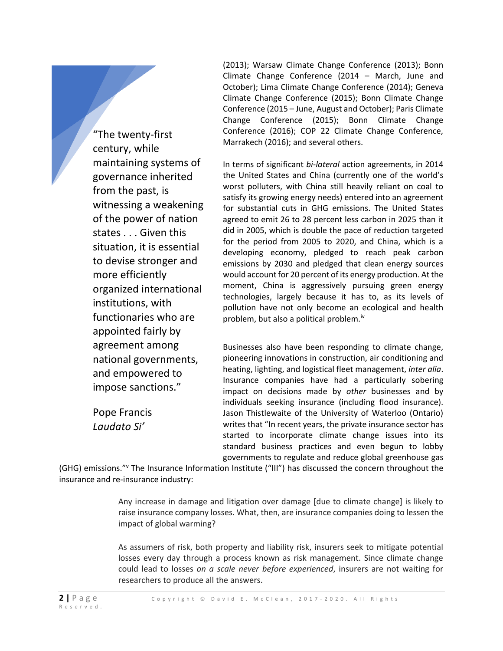"The twenty-first century, while maintaining systems of governance inherited from the past, is witnessing a weakening of the power of nation states . . . Given this situation, it is essential to devise stronger and more efficiently organized international institutions, with functionaries who are appointed fairly by agreement among national governments, and empowered to impose sanctions."

Pope Francis *Laudato Si'*

(2013); Warsaw Climate Change Conference (2013); Bonn Climate Change Conference (2014 – March, June and October); Lima Climate Change Conference (2014); Geneva Climate Change Conference (2015); Bonn Climate Change Conference (2015 – June, August and October); Paris Climate Change Conference (2015); Bonn Climate Change Conference (2016); COP 22 Climate Change Conference, Marrakech (2016); and several others.

In terms of significant *bi-lateral* action agreements, in 2014 the United States and China (currently one of the world's worst polluters, with China still heavily reliant on coal to satisfy its growing energy needs) entered into an agreement for substantial cuts in GHG emissions. The United States agreed to emit 26 to 28 percent less carbon in 2025 than it did in 2005, which is double the pace of reduction targeted for the period from 2005 to 2020, and China, which is a developing economy, pledged to reach peak carbon emissions by 2030 and pledged that clean energy sources would account for 20 percent of its energy production. At the moment, China is aggressively pursuing green energy technologies, largely because it has to, as its levels of pollution have not only become an ecological and health problem, but also a political problem.<sup>iv</sup>

Businesses also have been responding to climate change, pioneering innovations in construction, air conditioning and heating, lighting, and logistical fleet management, *inter alia*. Insurance companies have had a particularly sobering impact on decisions made by *other* businesses and by individuals seeking insurance (including flood insurance). Jason Thistlewaite of the University of Waterloo (Ontario) writes that "In recent years, the private insurance sector has started to incorporate climate change issues into its standard business practices and even begun to lobby governments to regulate and reduce global greenhouse gas

(GHG) emissions."<sup>v</sup> The Insurance Information Institute ("III") has discussed the concern throughout the insurance and re-insurance industry:

> Any increase in damage and litigation over damage [due to climate change] is likely to raise insurance company losses. What, then, are insurance companies doing to lessen the impact of global warming?

> As assumers of risk, both property and liability risk, insurers seek to mitigate potential losses every day through a process known as risk management. Since climate change could lead to losses *on a scale never before experienced*, insurers are not waiting for researchers to produce all the answers.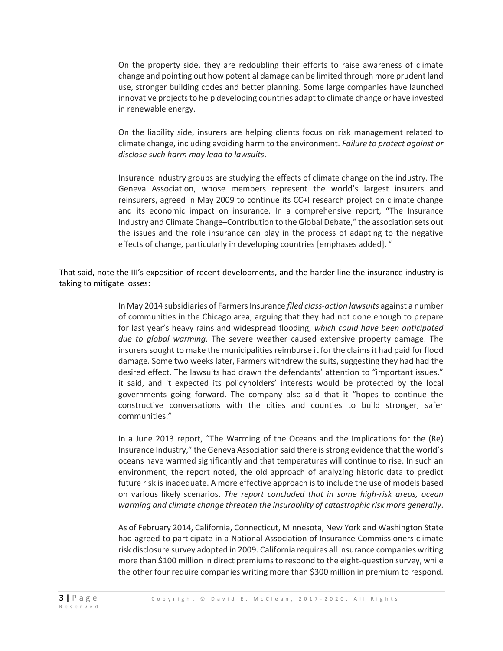On the property side, they are redoubling their efforts to raise awareness of climate change and pointing out how potential damage can be limited through more prudent land use, stronger building codes and better planning. Some large companies have launched innovative projects to help developing countries adapt to climate change or have invested in renewable energy.

On the liability side, insurers are helping clients focus on risk management related to climate change, including avoiding harm to the environment. *Failure to protect against or disclose such harm may lead to lawsuits*.

Insurance industry groups are studying the effects of climate change on the industry. The Geneva Association, whose members represent the world's largest insurers and reinsurers, agreed in May 2009 to continue its CC+I research project on climate change and its economic impact on insurance. In a comprehensive report, "The Insurance Industry and Climate Change–Contribution to the Global Debate," the association sets out the issues and the role insurance can play in the process of adapting to the negative effects of change, particularly in developing countries [emphases added]. vi

That said, note the III's exposition of recent developments, and the harder line the insurance industry is taking to mitigate losses:

> In May 2014 subsidiaries of Farmers Insurance *filed class-action lawsuits* against a number of communities in the Chicago area, arguing that they had not done enough to prepare for last year's heavy rains and widespread flooding, *which could have been anticipated due to global warming*. The severe weather caused extensive property damage. The insurers sought to make the municipalities reimburse it for the claims it had paid for flood damage. Some two weeks later, Farmers withdrew the suits, suggesting they had had the desired effect. The lawsuits had drawn the defendants' attention to "important issues," it said, and it expected its policyholders' interests would be protected by the local governments going forward. The company also said that it "hopes to continue the constructive conversations with the cities and counties to build stronger, safer communities."

> In a June 2013 report, "The Warming of the Oceans and the Implications for the (Re) Insurance Industry," the Geneva Association said there is strong evidence that the world's oceans have warmed significantly and that temperatures will continue to rise. In such an environment, the report noted, the old approach of analyzing historic data to predict future risk is inadequate. A more effective approach is to include the use of models based on various likely scenarios. *The report concluded that in some high-risk areas, ocean warming and climate change threaten the insurability of catastrophic risk more generally*.

> As of February 2014, California, Connecticut, Minnesota, New York and Washington State had agreed to participate in a National Association of Insurance Commissioners climate risk disclosure survey adopted in 2009. California requires all insurance companies writing more than \$100 million in direct premiums to respond to the eight-question survey, while the other four require companies writing more than \$300 million in premium to respond.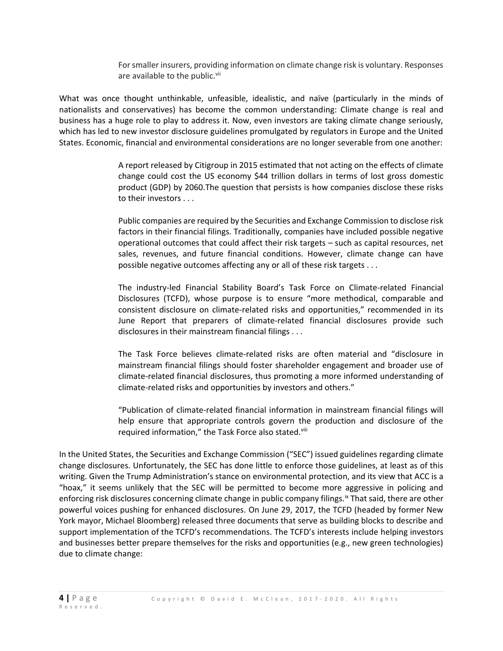For smaller insurers, providing information on climate change risk is voluntary. Responses are available to the public.<sup>vii</sup>

What was once thought unthinkable, unfeasible, idealistic, and naïve (particularly in the minds of nationalists and conservatives) has become the common understanding: Climate change is real and business has a huge role to play to address it. Now, even investors are taking climate change seriously, which has led to new investor disclosure guidelines promulgated by regulators in Europe and the United States. Economic, financial and environmental considerations are no longer severable from one another:

> A report released by Citigroup in 2015 estimated that not acting on the effects of climate change could cost the US economy \$44 trillion dollars in terms of lost gross domestic product (GDP) by 2060.The question that persists is how companies disclose these risks to their investors . . .

> Public companies are required by the Securities and Exchange Commission to disclose risk factors in their financial filings. Traditionally, companies have included possible negative operational outcomes that could affect their risk targets – such as capital resources, net sales, revenues, and future financial conditions. However, climate change can have possible negative outcomes affecting any or all of these risk targets . . .

> The industry-led Financial Stability Board's Task Force on Climate-related Financial Disclosures (TCFD), whose purpose is to ensure "more methodical, comparable and consistent disclosure on climate-related risks and opportunities," recommended in its June Report that preparers of climate-related financial disclosures provide such disclosures in their mainstream financial filings . . .

> The Task Force believes climate-related risks are often material and "disclosure in mainstream financial filings should foster shareholder engagement and broader use of climate-related financial disclosures, thus promoting a more informed understanding of climate-related risks and opportunities by investors and others."

> "Publication of climate-related financial information in mainstream financial filings will help ensure that appropriate controls govern the production and disclosure of the required information," the Task Force also stated. Vili

In the United States, the Securities and Exchange Commission ("SEC") issued guidelines regarding climate change disclosures. Unfortunately, the SEC has done little to enforce those guidelines, at least as of this writing. Given the Trump Administration's stance on environmental protection, and its view that ACC is a "hoax," it seems unlikely that the SEC will be permitted to become more aggressive in policing and enforcing risk disclosures concerning climate change in public company filings.<sup>ix</sup> That said, there are other powerful voices pushing for enhanced disclosures. On June 29, 2017, the TCFD (headed by former New York mayor, Michael Bloomberg) released three documents that serve as building blocks to describe and support implementation of the TCFD's recommendations. The TCFD's interests include helping investors and businesses better prepare themselves for the risks and opportunities (e.g., new green technologies) due to climate change: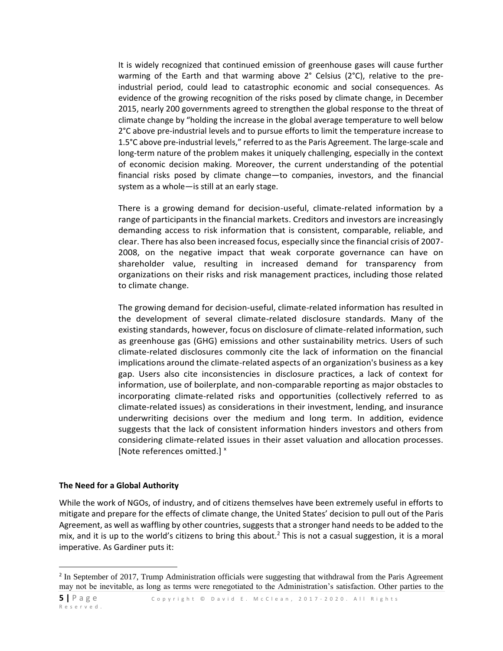It is widely recognized that continued emission of greenhouse gases will cause further warming of the Earth and that warming above 2° Celsius (2°C), relative to the preindustrial period, could lead to catastrophic economic and social consequences. As evidence of the growing recognition of the risks posed by climate change, in December 2015, nearly 200 governments agreed to strengthen the global response to the threat of climate change by "holding the increase in the global average temperature to well below 2°C above pre-industrial levels and to pursue efforts to limit the temperature increase to 1.5°C above pre-industrial levels," referred to as the Paris Agreement. The large-scale and long-term nature of the problem makes it uniquely challenging, especially in the context of economic decision making. Moreover, the current understanding of the potential financial risks posed by climate change—to companies, investors, and the financial system as a whole—is still at an early stage.

There is a growing demand for decision-useful, climate-related information by a range of participants in the financial markets. Creditors and investors are increasingly demanding access to risk information that is consistent, comparable, reliable, and clear. There has also been increased focus, especially since the financial crisis of 2007- 2008, on the negative impact that weak corporate governance can have on shareholder value, resulting in increased demand for transparency from organizations on their risks and risk management practices, including those related to climate change.

The growing demand for decision-useful, climate-related information has resulted in the development of several climate-related disclosure standards. Many of the existing standards, however, focus on disclosure of climate-related information, such as greenhouse gas (GHG) emissions and other sustainability metrics. Users of such climate-related disclosures commonly cite the lack of information on the financial implications around the climate-related aspects of an organization's business as a key gap. Users also cite inconsistencies in disclosure practices, a lack of context for information, use of boilerplate, and non-comparable reporting as major obstacles to incorporating climate-related risks and opportunities (collectively referred to as climate-related issues) as considerations in their investment, lending, and insurance underwriting decisions over the medium and long term. In addition, evidence suggests that the lack of consistent information hinders investors and others from considering climate-related issues in their asset valuation and allocation processes. [Note references omitted.] x

#### **The Need for a Global Authority**

While the work of NGOs, of industry, and of citizens themselves have been extremely useful in efforts to mitigate and prepare for the effects of climate change, the United States' decision to pull out of the Paris Agreement, as well as waffling by other countries, suggests that a stronger hand needs to be added to the mix, and it is up to the world's citizens to bring this about.<sup>2</sup> This is not a casual suggestion, it is a moral imperative. As Gardiner puts it:

<sup>&</sup>lt;sup>2</sup> In September of 2017, Trump Administration officials were suggesting that withdrawal from the Paris Agreement may not be inevitable, as long as terms were renegotiated to the Administration's satisfaction. Other parties to the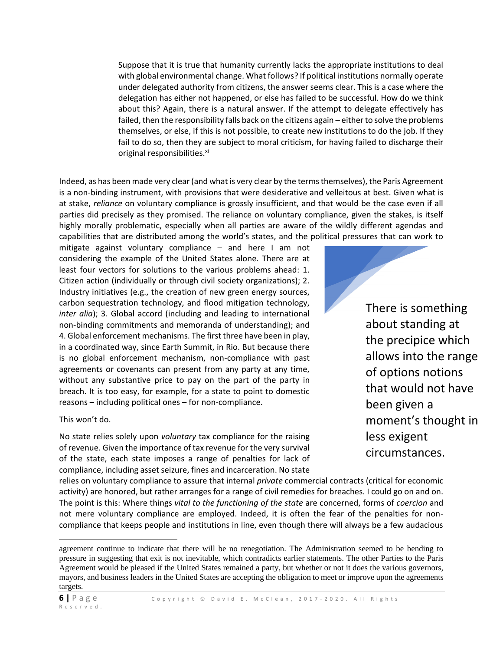Suppose that it is true that humanity currently lacks the appropriate institutions to deal with global environmental change. What follows? If political institutions normally operate under delegated authority from citizens, the answer seems clear. This is a case where the delegation has either not happened, or else has failed to be successful. How do we think about this? Again, there is a natural answer. If the attempt to delegate effectively has failed, then the responsibility falls back on the citizens again – either to solve the problems themselves, or else, if this is not possible, to create new institutions to do the job. If they fail to do so, then they are subject to moral criticism, for having failed to discharge their original responsibilities.<sup>xi</sup>

Indeed, as has been made very clear (and what is very clear by the terms themselves), the Paris Agreement is a non-binding instrument, with provisions that were desiderative and velleitous at best. Given what is at stake, *reliance* on voluntary compliance is grossly insufficient, and that would be the case even if all parties did precisely as they promised. The reliance on voluntary compliance, given the stakes, is itself highly morally problematic, especially when all parties are aware of the wildly different agendas and capabilities that are distributed among the world's states, and the political pressures that can work to

mitigate against voluntary compliance – and here I am not considering the example of the United States alone. There are at least four vectors for solutions to the various problems ahead: 1. Citizen action (individually or through civil society organizations); 2. Industry initiatives (e.g., the creation of new green energy sources, carbon sequestration technology, and flood mitigation technology, *inter alia*); 3. Global accord (including and leading to international non-binding commitments and memoranda of understanding); and 4. Global enforcement mechanisms. The first three have been in play, in a coordinated way, since Earth Summit, in Rio. But because there is no global enforcement mechanism, non-compliance with past agreements or covenants can present from any party at any time, without any substantive price to pay on the part of the party in breach. It is too easy, for example, for a state to point to domestic reasons – including political ones – for non-compliance.

This won't do.

No state relies solely upon *voluntary* tax compliance for the raising of revenue. Given the importance of tax revenue for the very survival of the state, each state imposes a range of penalties for lack of compliance, including asset seizure, fines and incarceration. No state There is something about standing at the precipice which allows into the range of options notions that would not have been given a moment's thought in less exigent circumstances.

relies on voluntary compliance to assure that internal *private* commercial contracts (critical for economic activity) are honored, but rather arranges for a range of civil remedies for breaches. I could go on and on. The point is this: Where things *vital to the functioning of the state* are concerned, forms of *coercion* and not mere voluntary compliance are employed. Indeed, it is often the fear of the penalties for noncompliance that keeps people and institutions in line, even though there will always be a few audacious

agreement continue to indicate that there will be no renegotiation. The Administration seemed to be bending to pressure in suggesting that exit is not inevitable, which contradicts earlier statements. The other Parties to the Paris Agreement would be pleased if the United States remained a party, but whether or not it does the various governors, mayors, and business leaders in the United States are accepting the obligation to meet or improve upon the agreements targets.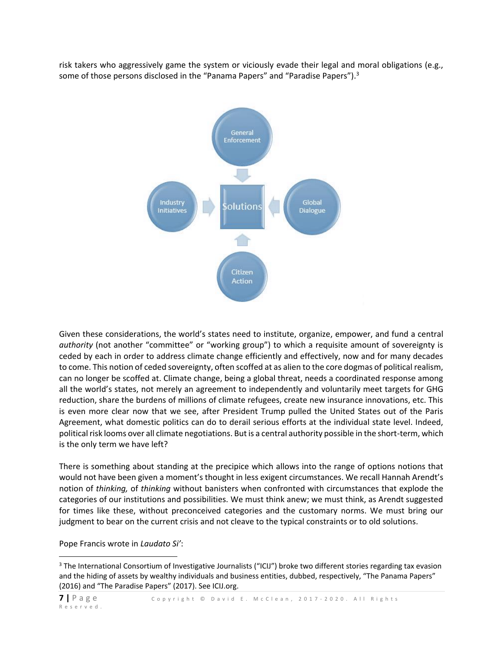risk takers who aggressively game the system or viciously evade their legal and moral obligations (e.g., some of those persons disclosed in the "Panama Papers" and "Paradise Papers").<sup>3</sup>



Given these considerations, the world's states need to institute, organize, empower, and fund a central *authority* (not another "committee" or "working group") to which a requisite amount of sovereignty is ceded by each in order to address climate change efficiently and effectively, now and for many decades to come. This notion of ceded sovereignty, often scoffed at as alien to the core dogmas of political realism, can no longer be scoffed at. Climate change, being a global threat, needs a coordinated response among all the world's states, not merely an agreement to independently and voluntarily meet targets for GHG reduction, share the burdens of millions of climate refugees, create new insurance innovations, etc. This is even more clear now that we see, after President Trump pulled the United States out of the Paris Agreement, what domestic politics can do to derail serious efforts at the individual state level. Indeed, political risk looms over all climate negotiations. But is a central authority possible in the short-term, which is the only term we have left?

There is something about standing at the precipice which allows into the range of options notions that would not have been given a moment's thought in less exigent circumstances. We recall Hannah Arendt's notion of *thinking,* of *thinking* without banisters when confronted with circumstances that explode the categories of our institutions and possibilities. We must think anew; we must think, as Arendt suggested for times like these, without preconceived categories and the customary norms. We must bring our judgment to bear on the current crisis and not cleave to the typical constraints or to old solutions.

Pope Francis wrote in *Laudato Si'*:

<sup>&</sup>lt;sup>3</sup> The International Consortium of Investigative Journalists ("ICIJ") broke two different stories regarding tax evasion and the hiding of assets by wealthy individuals and business entities, dubbed, respectively, "The Panama Papers" (2016) and "The Paradise Papers" (2017). See ICIJ.org.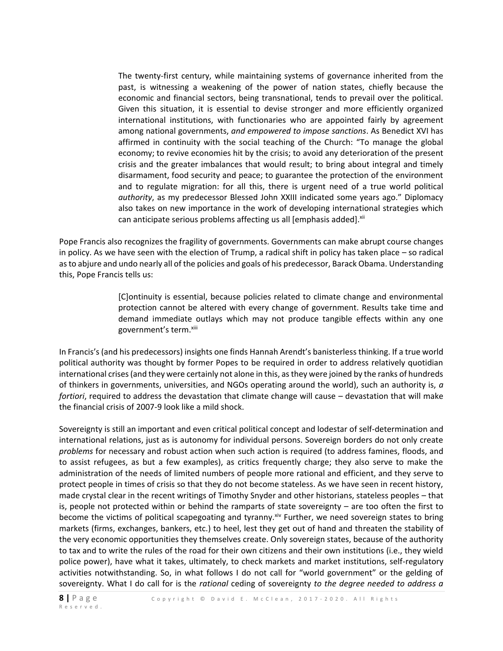The twenty-first century, while maintaining systems of governance inherited from the past, is witnessing a weakening of the power of nation states, chiefly because the economic and financial sectors, being transnational, tends to prevail over the political. Given this situation, it is essential to devise stronger and more efficiently organized international institutions, with functionaries who are appointed fairly by agreement among national governments, *and empowered to impose sanctions*. As Benedict XVI has affirmed in continuity with the social teaching of the Church: "To manage the global economy; to revive economies hit by the crisis; to avoid any deterioration of the present crisis and the greater imbalances that would result; to bring about integral and timely disarmament, food security and peace; to guarantee the protection of the environment and to regulate migration: for all this, there is urgent need of a true world political *authority*, as my predecessor Blessed John XXIII indicated some years ago." Diplomacy also takes on new importance in the work of developing international strategies which can anticipate serious problems affecting us all [emphasis added].<sup>xii</sup>

Pope Francis also recognizes the fragility of governments. Governments can make abrupt course changes in policy. As we have seen with the election of Trump, a radical shift in policy has taken place – so radical as to abjure and undo nearly all of the policies and goals of his predecessor, Barack Obama. Understanding this, Pope Francis tells us:

> [C]ontinuity is essential, because policies related to climate change and environmental protection cannot be altered with every change of government. Results take time and demand immediate outlays which may not produce tangible effects within any one government's term.xiii

In Francis's (and his predecessors) insights one finds Hannah Arendt's banisterless thinking. If a true world political authority was thought by former Popes to be required in order to address relatively quotidian international crises (and they were certainly not alone in this, as they were joined by the ranks of hundreds of thinkers in governments, universities, and NGOs operating around the world), such an authority is, *a fortiori*, required to address the devastation that climate change will cause – devastation that will make the financial crisis of 2007-9 look like a mild shock.

Sovereignty is still an important and even critical political concept and lodestar of self-determination and international relations, just as is autonomy for individual persons. Sovereign borders do not only create *problems* for necessary and robust action when such action is required (to address famines, floods, and to assist refugees, as but a few examples), as critics frequently charge; they also serve to make the administration of the needs of limited numbers of people more rational and efficient, and they serve to protect people in times of crisis so that they do not become stateless. As we have seen in recent history, made crystal clear in the recent writings of Timothy Snyder and other historians, stateless peoples – that is, people not protected within or behind the ramparts of state sovereignty – are too often the first to become the victims of political scapegoating and tyranny.<sup>xiv</sup> Further, we need sovereign states to bring markets (firms, exchanges, bankers, etc.) to heel, lest they get out of hand and threaten the stability of the very economic opportunities they themselves create. Only sovereign states, because of the authority to tax and to write the rules of the road for their own citizens and their own institutions (i.e., they wield police power), have what it takes, ultimately, to check markets and market institutions, self-regulatory activities notwithstanding. So, in what follows I do not call for "world government" or the gelding of sovereignty. What I do call for is the *rational* ceding of sovereignty *to the degree needed to address a*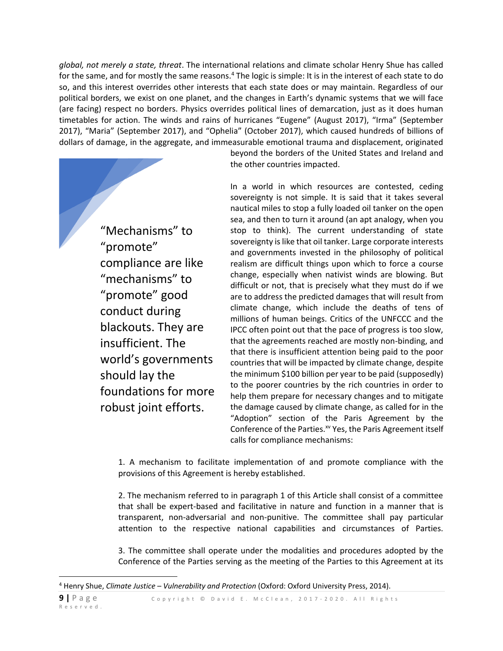*global, not merely a state, threat*. The international relations and climate scholar Henry Shue has called for the same, and for mostly the same reasons.<sup>4</sup> The logic is simple: It is in the interest of each state to do so, and this interest overrides other interests that each state does or may maintain. Regardless of our political borders, we exist on one planet, and the changes in Earth's dynamic systems that we will face (are facing) respect no borders. Physics overrides political lines of demarcation, just as it does human timetables for action. The winds and rains of hurricanes "Eugene" (August 2017), "Irma" (September 2017), "Maria" (September 2017), and "Ophelia" (October 2017), which caused hundreds of billions of dollars of damage, in the aggregate, and immeasurable emotional trauma and displacement, originated



beyond the borders of the United States and Ireland and the other countries impacted.

In a world in which resources are contested, ceding sovereignty is not simple. It is said that it takes several nautical miles to stop a fully loaded oil tanker on the open sea, and then to turn it around (an apt analogy, when you stop to think). The current understanding of state sovereignty is like that oil tanker. Large corporate interests and governments invested in the philosophy of political realism are difficult things upon which to force a course change, especially when nativist winds are blowing. But difficult or not, that is precisely what they must do if we are to address the predicted damages that will result from climate change, which include the deaths of tens of millions of human beings. Critics of the UNFCCC and the IPCC often point out that the pace of progress is too slow, that the agreements reached are mostly non-binding, and that there is insufficient attention being paid to the poor countries that will be impacted by climate change, despite the minimum \$100 billion per year to be paid (supposedly) to the poorer countries by the rich countries in order to help them prepare for necessary changes and to mitigate the damage caused by climate change, as called for in the "Adoption" section of the Paris Agreement by the Conference of the Parties.<sup>xv</sup> Yes, the Paris Agreement itself calls for compliance mechanisms:

1. A mechanism to facilitate implementation of and promote compliance with the provisions of this Agreement is hereby established.

2. The mechanism referred to in paragraph 1 of this Article shall consist of a committee that shall be expert-based and facilitative in nature and function in a manner that is transparent, non-adversarial and non-punitive. The committee shall pay particular attention to the respective national capabilities and circumstances of Parties.

3. The committee shall operate under the modalities and procedures adopted by the Conference of the Parties serving as the meeting of the Parties to this Agreement at its

<sup>4</sup> Henry Shue, *Climate Justice – Vulnerability and Protection* (Oxford: Oxford University Press, 2014).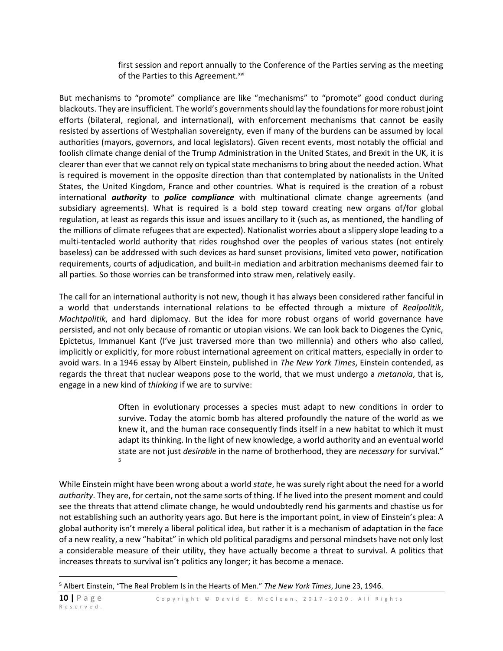first session and report annually to the Conference of the Parties serving as the meeting of the Parties to this Agreement.<sup>xvi</sup>

But mechanisms to "promote" compliance are like "mechanisms" to "promote" good conduct during blackouts. They are insufficient. The world's governments should lay the foundations for more robust joint efforts (bilateral, regional, and international), with enforcement mechanisms that cannot be easily resisted by assertions of Westphalian sovereignty, even if many of the burdens can be assumed by local authorities (mayors, governors, and local legislators). Given recent events, most notably the official and foolish climate change denial of the Trump Administration in the United States, and Brexit in the UK, it is clearer than ever that we cannot rely on typical state mechanisms to bring about the needed action. What is required is movement in the opposite direction than that contemplated by nationalists in the United States, the United Kingdom, France and other countries. What is required is the creation of a robust international *authority* to *police compliance* with multinational climate change agreements (and subsidiary agreements). What is required is a bold step toward creating new organs of/for global regulation, at least as regards this issue and issues ancillary to it (such as, as mentioned, the handling of the millions of climate refugees that are expected). Nationalist worries about a slippery slope leading to a multi-tentacled world authority that rides roughshod over the peoples of various states (not entirely baseless) can be addressed with such devices as hard sunset provisions, limited veto power, notification requirements, courts of adjudication, and built-in mediation and arbitration mechanisms deemed fair to all parties. So those worries can be transformed into straw men, relatively easily.

The call for an international authority is not new, though it has always been considered rather fanciful in a world that understands international relations to be effected through a mixture of *Realpolitik*, *Machtpolitik*, and hard diplomacy. But the idea for more robust organs of world governance have persisted, and not only because of romantic or utopian visions. We can look back to Diogenes the Cynic, Epictetus, Immanuel Kant (I've just traversed more than two millennia) and others who also called, implicitly or explicitly, for more robust international agreement on critical matters, especially in order to avoid wars. In a 1946 essay by Albert Einstein, published in *The New York Times*, Einstein contended, as regards the threat that nuclear weapons pose to the world, that we must undergo a *metanoia*, that is, engage in a new kind of *thinking* if we are to survive:

> Often in evolutionary processes a species must adapt to new conditions in order to survive. Today the atomic bomb has altered profoundly the nature of the world as we knew it, and the human race consequently finds itself in a new habitat to which it must adapt its thinking. In the light of new knowledge, a world authority and an eventual world state are not just *desirable* in the name of brotherhood, they are *necessary* for survival." 5

While Einstein might have been wrong about a world *state*, he was surely right about the need for a world *authority*. They are, for certain, not the same sorts of thing. If he lived into the present moment and could see the threats that attend climate change, he would undoubtedly rend his garments and chastise us for not establishing such an authority years ago. But here is the important point, in view of Einstein's plea: A global authority isn't merely a liberal political idea, but rather it is a mechanism of adaptation in the face of a new reality, a new "habitat" in which old political paradigms and personal mindsets have not only lost a considerable measure of their utility, they have actually become a threat to survival. A politics that increases threats to survival isn't politics any longer; it has become a menace.

<sup>5</sup> Albert Einstein, "The Real Problem Is in the Hearts of Men." *The New York Times*, June 23, 1946.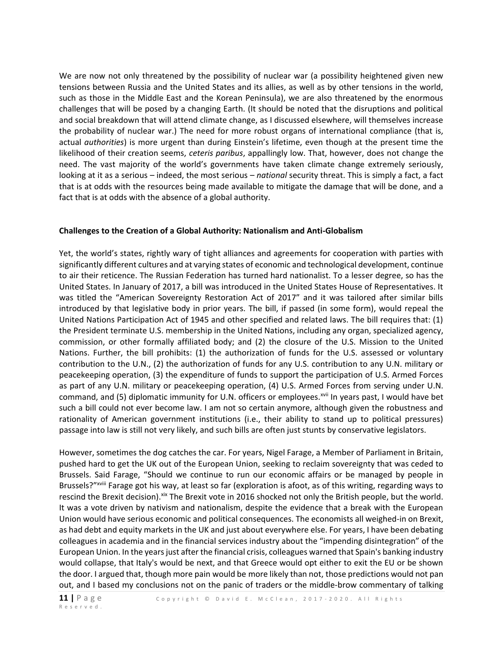We are now not only threatened by the possibility of nuclear war (a possibility heightened given new tensions between Russia and the United States and its allies, as well as by other tensions in the world, such as those in the Middle East and the Korean Peninsula), we are also threatened by the enormous challenges that will be posed by a changing Earth. (It should be noted that the disruptions and political and social breakdown that will attend climate change, as I discussed elsewhere, will themselves increase the probability of nuclear war.) The need for more robust organs of international compliance (that is, actual *authorities*) is more urgent than during Einstein's lifetime, even though at the present time the likelihood of their creation seems, *ceteris paribus*, appallingly low. That, however, does not change the need. The vast majority of the world's governments have taken climate change extremely seriously, looking at it as a serious – indeed, the most serious – *national* security threat. This is simply a fact, a fact that is at odds with the resources being made available to mitigate the damage that will be done, and a fact that is at odds with the absence of a global authority.

## **Challenges to the Creation of a Global Authority: Nationalism and Anti-Globalism**

Yet, the world's states, rightly wary of tight alliances and agreements for cooperation with parties with significantly different cultures and at varying states of economic and technological development, continue to air their reticence. The Russian Federation has turned hard nationalist. To a lesser degree, so has the United States. In January of 2017, a bill was introduced in the United States House of Representatives. It was titled the "American Sovereignty Restoration Act of 2017" and it was tailored after similar bills introduced by that legislative body in prior years. The bill, if passed (in some form), would repeal the United Nations Participation Act of 1945 and other specified and related laws. The bill requires that: (1) the President terminate U.S. membership in the United Nations, including any organ, specialized agency, commission, or other formally affiliated body; and (2) the closure of the U.S. Mission to the United Nations. Further, the bill prohibits: (1) the authorization of funds for the U.S. assessed or voluntary contribution to the U.N., (2) the authorization of funds for any U.S. contribution to any U.N. military or peacekeeping operation, (3) the expenditure of funds to support the participation of U.S. Armed Forces as part of any U.N. military or peacekeeping operation, (4) U.S. Armed Forces from serving under U.N. command, and (5) diplomatic immunity for U.N. officers or employees.<sup>xvii</sup> In years past, I would have bet such a bill could not ever become law. I am not so certain anymore, although given the robustness and rationality of American government institutions (i.e., their ability to stand up to political pressures) passage into law is still not very likely, and such bills are often just stunts by conservative legislators.

However, sometimes the dog catches the car. For years, Nigel Farage, a Member of Parliament in Britain, pushed hard to get the UK out of the European Union, seeking to reclaim sovereignty that was ceded to Brussels. Said Farage, "Should we continue to run our economic affairs or be managed by people in Brussels?"xviii Farage got his way, at least so far (exploration is afoot, as of this writing, regarding ways to rescind the Brexit decision).<sup>xix</sup> The Brexit vote in 2016 shocked not only the British people, but the world. It was a vote driven by nativism and nationalism, despite the evidence that a break with the European Union would have serious economic and political consequences. The economists all weighed-in on Brexit, as had debt and equity markets in the UK and just about everywhere else. For years, I have been debating colleagues in academia and in the financial services industry about the "impending disintegration" of the European Union. In the years just after the financial crisis, colleagues warned that Spain's banking industry would collapse, that Italy's would be next, and that Greece would opt either to exit the EU or be shown the door. I argued that, though more pain would be more likely than not, those predictions would not pan out, and I based my conclusions not on the panic of traders or the middle-brow commentary of talking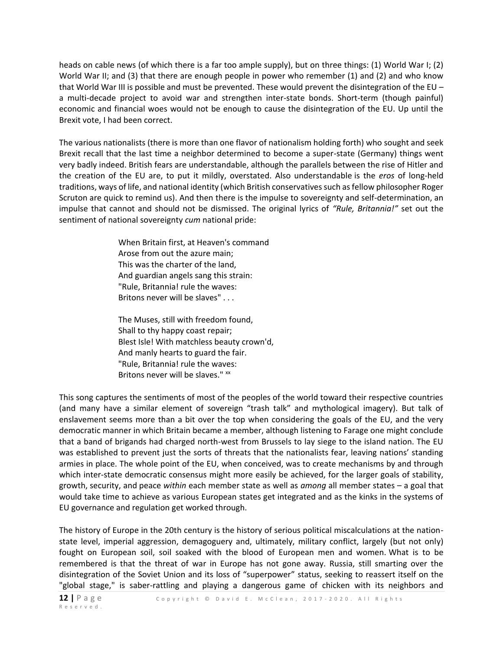heads on cable news (of which there is a far too ample supply), but on three things: (1) World War I; (2) World War II; and (3) that there are enough people in power who remember (1) and (2) and who know that World War III is possible and must be prevented. These would prevent the disintegration of the EU – a multi-decade project to avoid war and strengthen inter-state bonds. Short-term (though painful) economic and financial woes would not be enough to cause the disintegration of the EU. Up until the Brexit vote, I had been correct.

The various nationalists (there is more than one flavor of nationalism holding forth) who sought and seek Brexit recall that the last time a neighbor determined to become a super-state (Germany) things went very badly indeed. British fears are understandable, although the parallels between the rise of Hitler and the creation of the EU are, to put it mildly, overstated. Also understandable is the *eros* of long-held traditions, ways of life, and national identity (which British conservatives such as fellow philosopher Roger Scruton are quick to remind us). And then there is the impulse to sovereignty and self-determination, an impulse that cannot and should not be dismissed. The original lyrics of *"Rule, Britannia!"* set out the sentiment of national sovereignty *cum* national pride:

> When Britain first, at Heaven's command Arose from out the azure main; This was the charter of the land, And guardian angels sang this strain: "Rule, Britannia! rule the waves: Britons never will be slaves" . . .

The Muses, still with freedom found, Shall to thy happy coast repair; Blest Isle! With matchless beauty crown'd, And manly hearts to guard the fair. "Rule, Britannia! rule the waves: Britons never will be slaves." xx

This song captures the sentiments of most of the peoples of the world toward their respective countries (and many have a similar element of sovereign "trash talk" and mythological imagery). But talk of enslavement seems more than a bit over the top when considering the goals of the EU, and the very democratic manner in which Britain became a member, although listening to Farage one might conclude that a band of brigands had charged north-west from Brussels to lay siege to the island nation. The EU was established to prevent just the sorts of threats that the nationalists fear, leaving nations' standing armies in place. The whole point of the EU, when conceived, was to create mechanisms by and through which inter-state democratic consensus might more easily be achieved, for the larger goals of stability, growth, security, and peace *within* each member state as well as *among* all member states – a goal that would take time to achieve as various European states get integrated and as the kinks in the systems of EU governance and regulation get worked through.

The history of Europe in the 20th century is the history of serious political miscalculations at the nationstate level, imperial aggression, demagoguery and, ultimately, military conflict, largely (but not only) fought on European soil, soil soaked with the blood of European men and women. What is to be remembered is that the threat of war in Europe has not gone away. Russia, still smarting over the disintegration of the Soviet Union and its loss of "superpower" status, seeking to reassert itself on the "global stage," is saber-rattling and playing a dangerous game of chicken with its neighbors and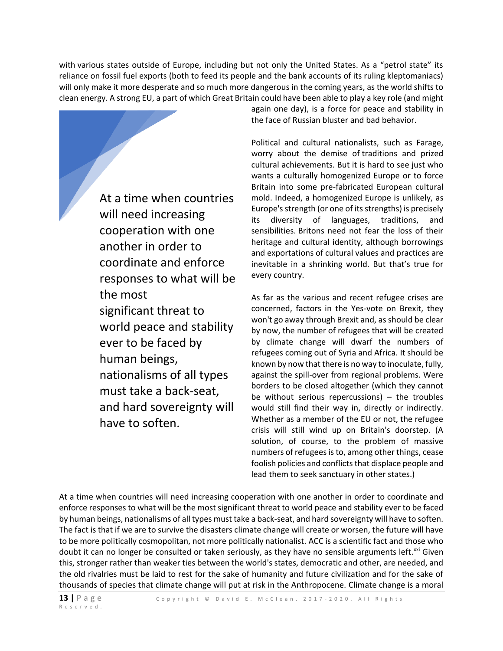with various states outside of Europe, including but not only the United States. As a "petrol state" its reliance on fossil fuel exports (both to feed its people and the bank accounts of its ruling kleptomaniacs) will only make it more desperate and so much more dangerous in the coming years, as the world shifts to clean energy. A strong EU, a part of which Great Britain could have been able to play a key role (and might

> At a time when countries will need increasing cooperation with one another in order to coordinate and enforce responses to what will be the most significant threat to world peace and stability ever to be faced by human beings, nationalisms of all types must take a back-seat, and hard sovereignty will have to soften.

again one day), is a force for peace and stability in the face of Russian bluster and bad behavior.

Political and cultural nationalists, such as Farage, worry about the demise of traditions and prized cultural achievements. But it is hard to see just who wants a culturally homogenized Europe or to force Britain into some pre-fabricated European cultural mold. Indeed, a homogenized Europe is unlikely, as Europe's strength (or one of its strengths) is precisely its diversity of languages, traditions, and sensibilities. Britons need not fear the loss of their heritage and cultural identity, although borrowings and exportations of cultural values and practices are inevitable in a shrinking world. But that's true for every country.

As far as the various and recent refugee crises are concerned, factors in the Yes-vote on Brexit, they won't go away through Brexit and, as should be clear by now, the number of refugees that will be created by climate change will dwarf the numbers of refugees coming out of Syria and Africa. It should be known by now that there is no way to inoculate, fully, against the spill-over from regional problems. Were borders to be closed altogether (which they cannot be without serious repercussions) – the troubles would still find their way in, directly or indirectly. Whether as a member of the EU or not, the refugee crisis will still wind up on Britain's doorstep. (A solution, of course, to the problem of massive numbers of refugees is to, among other things, cease foolish policies and conflicts that displace people and lead them to seek sanctuary in other states.)

At a time when countries will need increasing cooperation with one another in order to coordinate and enforce responses to what will be the most significant threat to world peace and stability ever to be faced by human beings, nationalisms of all types must take a back-seat, and hard sovereignty will have to soften. The fact is that if we are to survive the disasters climate change will create or worsen, the future will have to be more politically cosmopolitan, not more politically nationalist. ACC is a scientific fact and those who doubt it can no longer be consulted or taken seriously, as they have no sensible arguments left.<sup>xxi</sup> Given this, stronger rather than weaker ties between the world's states, democratic and other, are needed, and the old rivalries must be laid to rest for the sake of humanity and future civilization and for the sake of thousands of species that climate change will put at risk in the Anthropocene. Climate change is a moral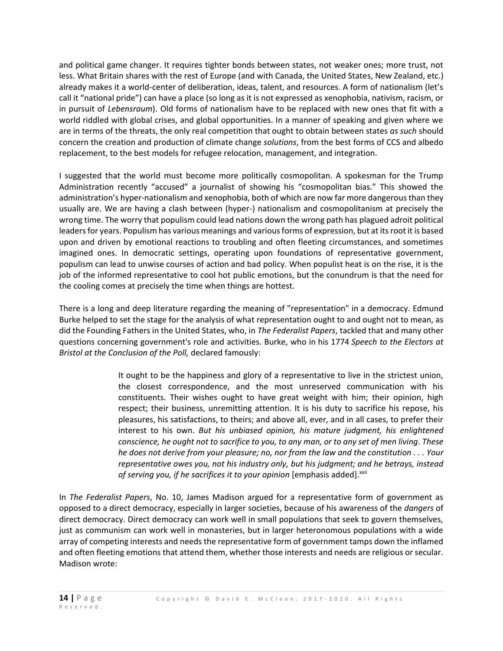and political game changer. It requires tighter bonds between states, not weaker ones; more trust, not less. What Britain shares with the rest of Europe (and with Canada, the United States, New Zealand, etc.) already makes it a world-center of deliberation, ideas, talent, and resources. A form of nationalism (let's call it "national pride") can have a place (so long as it is not expressed as xenophobia, nativism, racism, or in pursuit of *Lebensraum*). Old forms of nationalism have to be replaced with new ones that fit with a world riddled with global crises, and global opportunities. In a manner of speaking and given where we are in terms of the threats, the only real competition that ought to obtain between states *as such* should concern the creation and production of climate change *solutions*, from the best forms of CCS and albedo replacement, to the best models for refugee relocation, management, and integration.

I suggested that the world must become more politically cosmopolitan. A spokesman for the Trump Administration recently "accused" a journalist of showing his "cosmopolitan bias." This showed the administration's hyper-nationalism and xenophobia, both of which are now far more dangerous than they usually are. We are having a clash between (hyper-) nationalism and cosmopolitanism at precisely the wrong time. The worry that populism could lead nations down the wrong path has plagued adroit political leaders for years. Populism has various meanings and various forms of expression, but at its root it is based upon and driven by emotional reactions to troubling and often fleeting circumstances, and sometimes imagined ones. In democratic settings, operating upon foundations of representative government, populism can lead to unwise courses of action and bad policy. When populist heat is on the rise, it is the job of the informed representative to cool hot public emotions, but the conundrum is that the need for the cooling comes at precisely the time when things are hottest.

There is a long and deep literature regarding the meaning of "representation" in a democracy. Edmund Burke helped to set the stage for the analysis of what representation ought to and ought not to mean, as did the Founding Fathers in the United States, who, in *The Federalist Papers*, tackled that and many other questions concerning government's role and activities. Burke, who in his 1774 *Speech to the Electors at Bristol at the Conclusion of the Poll,* declared famously:

> It ought to be the happiness and glory of a representative to live in the strictest union, the closest correspondence, and the most unreserved communication with his constituents. Their wishes ought to have great weight with him; their opinion, high respect; their business, unremitting attention. It is his duty to sacrifice his repose, his pleasures, his satisfactions, to theirs; and above all, ever, and in all cases, to prefer their interest to his own. *But his unbiased opinion, his mature judgment, his enlightened conscience, he ought not to sacrifice to you, to any man, or to any set of men living*. *These he does not derive from your pleasure; no, nor from the law and the constitution . . . Your representative owes you, not his industry only, but his judgment; and he betrays, instead*  of serving you, if he sacrifices it to your opinion [emphasis added].<sup>xxii</sup>

In *The Federalist Papers*, No. 10, James Madison argued for a representative form of government as opposed to a direct democracy, especially in larger societies, because of his awareness of the *dangers* of direct democracy. Direct democracy can work well in small populations that seek to govern themselves, just as communism can work well in monasteries, but in larger heteronomous populations with a wide array of competing interests and needs the representative form of government tamps down the inflamed and often fleeting emotions that attend them, whether those interests and needs are religious or secular. Madison wrote: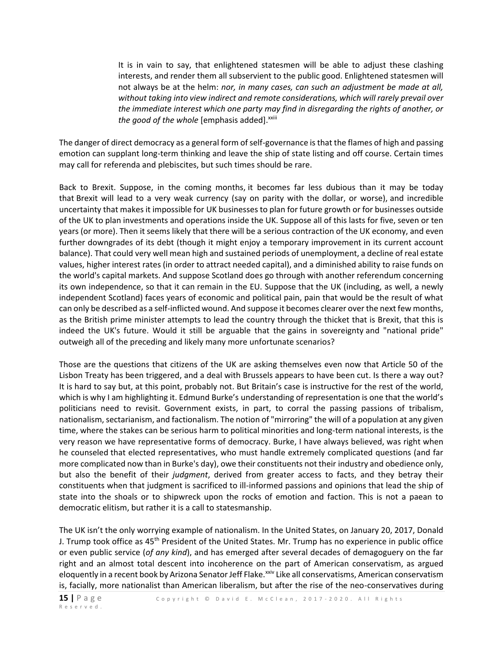It is in vain to say, that enlightened statesmen will be able to adjust these clashing interests, and render them all subservient to the public good. Enlightened statesmen will not always be at the helm: *nor, in many cases, can such an adjustment be made at all, without taking into view indirect and remote considerations, which will rarely prevail over the immediate interest which one party may find in disregarding the rights of another, or*  the good of the whole [emphasis added].<sup>xxiii</sup>

The danger of direct democracy as a general form of self-governance is that the flames of high and passing emotion can supplant long-term thinking and leave the ship of state listing and off course. Certain times may call for referenda and plebiscites, but such times should be rare.

Back to Brexit. Suppose, in the coming months, it becomes far less dubious than it may be today that Brexit will lead to a very weak currency (say on parity with the dollar, or worse), and incredible uncertainty that makes it impossible for UK businesses to plan for future growth or for businesses outside of the UK to plan investments and operations inside the UK. Suppose all of this lasts for five, seven or ten years (or more). Then it seems likely that there will be a serious contraction of the UK economy, and even further downgrades of its debt (though it might enjoy a temporary improvement in its current account balance). That could very well mean high and sustained periods of unemployment, a decline of real estate values, higher interest rates (in order to attract needed capital), and a diminished ability to raise funds on the world's capital markets. And suppose Scotland does go through with another referendum concerning its own independence, so that it can remain in the EU. Suppose that the UK (including, as well, a newly independent Scotland) faces years of economic and political pain, pain that would be the result of what can only be described as a self-inflicted wound. And suppose it becomes clearer over the next few months, as the British prime minister attempts to lead the country through the thicket that is Brexit, that this is indeed the UK's future. Would it still be arguable that the gains in sovereignty and "national pride" outweigh all of the preceding and likely many more unfortunate scenarios?

Those are the questions that citizens of the UK are asking themselves even now that Article 50 of the Lisbon Treaty has been triggered, and a deal with Brussels appears to have been cut. Is there a way out? It is hard to say but, at this point, probably not. But Britain's case is instructive for the rest of the world, which is why I am highlighting it. Edmund Burke's understanding of representation is one that the world's politicians need to revisit. Government exists, in part, to corral the passing passions of tribalism, nationalism, sectarianism, and factionalism. The notion of "mirroring" the will of a population at any given time, where the stakes can be serious harm to political minorities and long-term national interests, is the very reason we have representative forms of democracy. Burke, I have always believed, was right when he counseled that elected representatives, who must handle extremely complicated questions (and far more complicated now than in Burke's day), owe their constituents not their industry and obedience only, but also the benefit of their *judgment*, derived from greater access to facts, and they betray their constituents when that judgment is sacrificed to ill-informed passions and opinions that lead the ship of state into the shoals or to shipwreck upon the rocks of emotion and faction. This is not a paean to democratic elitism, but rather it is a call to statesmanship.

The UK isn't the only worrying example of nationalism. In the United States, on January 20, 2017, Donald J. Trump took office as 45<sup>th</sup> President of the United States. Mr. Trump has no experience in public office or even public service (*of any kind*), and has emerged after several decades of demagoguery on the far right and an almost total descent into incoherence on the part of American conservatism, as argued eloquently in a recent book by Arizona Senator Jeff Flake.<sup>xxiv</sup> Like all conservatisms, American conservatism is, facially, more nationalist than American liberalism, but after the rise of the neo-conservatives during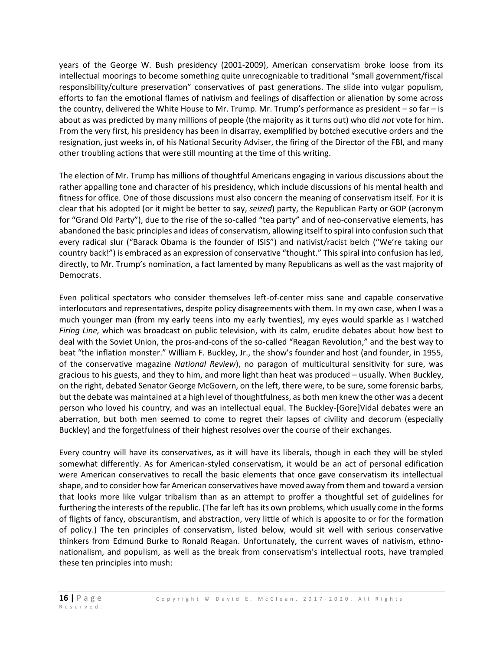years of the George W. Bush presidency (2001-2009), American conservatism broke loose from its intellectual moorings to become something quite unrecognizable to traditional "small government/fiscal responsibility/culture preservation" conservatives of past generations. The slide into vulgar populism, efforts to fan the emotional flames of nativism and feelings of disaffection or alienation by some across the country, delivered the White House to Mr. Trump. Mr. Trump's performance as president – so far – is about as was predicted by many millions of people (the majority as it turns out) who did *not* vote for him. From the very first, his presidency has been in disarray, exemplified by botched executive orders and the resignation, just weeks in, of his National Security Adviser, the firing of the Director of the FBI, and many other troubling actions that were still mounting at the time of this writing.

The election of Mr. Trump has millions of thoughtful Americans engaging in various discussions about the rather appalling tone and character of his presidency, which include discussions of his mental health and fitness for office. One of those discussions must also concern the meaning of conservatism itself. For it is clear that his adopted (or it might be better to say, *seized*) party, the Republican Party or GOP (acronym for "Grand Old Party"), due to the rise of the so-called "tea party" and of neo-conservative elements, has abandoned the basic principles and ideas of conservatism, allowing itself to spiral into confusion such that every radical slur ("Barack Obama is the founder of ISIS") and nativist/racist belch ("We're taking our country back!") is embraced as an expression of conservative "thought." This spiral into confusion has led, directly, to Mr. Trump's nomination, a fact lamented by many Republicans as well as the vast majority of Democrats.

Even political spectators who consider themselves left-of-center miss sane and capable conservative interlocutors and representatives, despite policy disagreements with them. In my own case, when I was a much younger man (from my early teens into my early twenties), my eyes would sparkle as I watched *Firing Line,* which was broadcast on public television, with its calm, erudite debates about how best to deal with the Soviet Union, the pros-and-cons of the so-called "Reagan Revolution," and the best way to beat "the inflation monster." William F. Buckley, Jr., the show's founder and host (and founder, in 1955, of the conservative magazine *National Review*), no paragon of multicultural sensitivity for sure, was gracious to his guests, and they to him, and more light than heat was produced – usually. When Buckley, on the right, debated Senator George McGovern, on the left, there were, to be sure, some forensic barbs, but the debate was maintained at a high level of thoughtfulness, as both men knew the other was a decent person who loved his country, and was an intellectual equal. The Buckley-[Gore]Vidal debates were an aberration, but both men seemed to come to regret their lapses of civility and decorum (especially Buckley) and the forgetfulness of their highest resolves over the course of their exchanges.

Every country will have its conservatives, as it will have its liberals, though in each they will be styled somewhat differently. As for American-styled conservatism, it would be an act of personal edification were American conservatives to recall the basic elements that once gave conservatism its intellectual shape, and to consider how far American conservatives have moved away from them and toward a version that looks more like vulgar tribalism than as an attempt to proffer a thoughtful set of guidelines for furthering the interests of the republic. (The far left has its own problems, which usually come in the forms of flights of fancy, obscurantism, and abstraction, very little of which is apposite to or for the formation of policy.) The ten principles of conservatism, listed below, would sit well with serious conservative thinkers from Edmund Burke to Ronald Reagan. Unfortunately, the current waves of nativism, ethnonationalism, and populism, as well as the break from conservatism's intellectual roots, have trampled these ten principles into mush: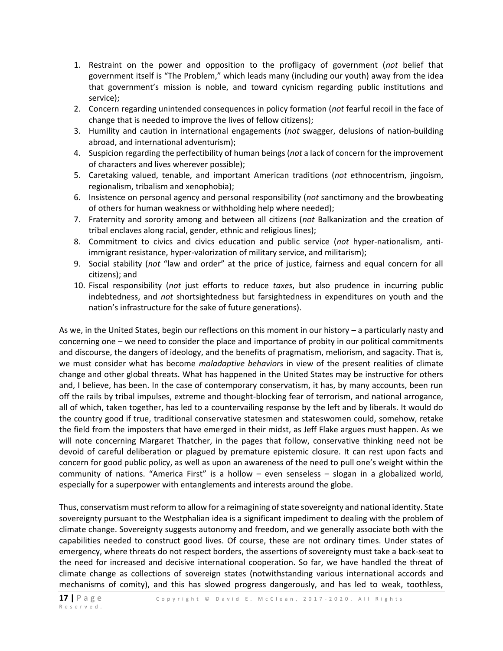- 1. Restraint on the power and opposition to the profligacy of government (*not* belief that government itself is "The Problem," which leads many (including our youth) away from the idea that government's mission is noble, and toward cynicism regarding public institutions and service);
- 2. Concern regarding unintended consequences in policy formation (*not* fearful recoil in the face of change that is needed to improve the lives of fellow citizens);
- 3. Humility and caution in international engagements (*not* swagger, delusions of nation-building abroad, and international adventurism);
- 4. Suspicion regarding the perfectibility of human beings (*not* a lack of concern for the improvement of characters and lives wherever possible);
- 5. Caretaking valued, tenable, and important American traditions (*not* ethnocentrism, jingoism, regionalism, tribalism and xenophobia);
- 6. Insistence on personal agency and personal responsibility (*not* sanctimony and the browbeating of others for human weakness or withholding help where needed);
- 7. Fraternity and sorority among and between all citizens (*not* Balkanization and the creation of tribal enclaves along racial, gender, ethnic and religious lines);
- 8. Commitment to civics and civics education and public service (*not* hyper-nationalism, antiimmigrant resistance, hyper-valorization of military service, and militarism);
- 9. Social stability (*not* "law and order" at the price of justice, fairness and equal concern for all citizens); and
- 10. Fiscal responsibility (*not* just efforts to reduce *taxes*, but also prudence in incurring public indebtedness, and *not* shortsightedness but farsightedness in expenditures on youth and the nation's infrastructure for the sake of future generations).

As we, in the United States, begin our reflections on this moment in our history – a particularly nasty and concerning one – we need to consider the place and importance of probity in our political commitments and discourse, the dangers of ideology, and the benefits of pragmatism, meliorism, and sagacity. That is, we must consider what has become *maladaptive behaviors* in view of the present realities of climate change and other global threats. What has happened in the United States may be instructive for others and, I believe, has been. In the case of contemporary conservatism, it has, by many accounts, been run off the rails by tribal impulses, extreme and thought-blocking fear of terrorism, and national arrogance, all of which, taken together, has led to a countervailing response by the left and by liberals. It would do the country good if true, traditional conservative statesmen and stateswomen could, somehow, retake the field from the imposters that have emerged in their midst, as Jeff Flake argues must happen. As we will note concerning Margaret Thatcher, in the pages that follow, conservative thinking need not be devoid of careful deliberation or plagued by premature epistemic closure. It can rest upon facts and concern for good public policy, as well as upon an awareness of the need to pull one's weight within the community of nations. "America First" is a hollow – even senseless – slogan in a globalized world, especially for a superpower with entanglements and interests around the globe.

Thus, conservatism must reform to allow for a reimagining of state sovereignty and national identity. State sovereignty pursuant to the Westphalian idea is a significant impediment to dealing with the problem of climate change. Sovereignty suggests autonomy and freedom, and we generally associate both with the capabilities needed to construct good lives. Of course, these are not ordinary times. Under states of emergency, where threats do not respect borders, the assertions of sovereignty must take a back-seat to the need for increased and decisive international cooperation. So far, we have handled the threat of climate change as collections of sovereign states (notwithstanding various international accords and mechanisms of comity), and this has slowed progress dangerously, and has led to weak, toothless,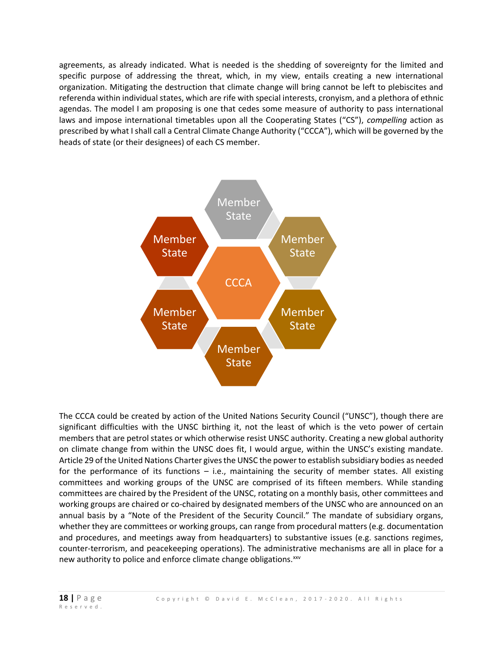agreements, as already indicated. What is needed is the shedding of sovereignty for the limited and specific purpose of addressing the threat, which, in my view, entails creating a new international organization. Mitigating the destruction that climate change will bring cannot be left to plebiscites and referenda within individual states, which are rife with special interests, cronyism, and a plethora of ethnic agendas. The model I am proposing is one that cedes some measure of authority to pass international laws and impose international timetables upon all the Cooperating States ("CS"), *compelling* action as prescribed by what I shall call a Central Climate Change Authority ("CCCA"), which will be governed by the heads of state (or their designees) of each CS member.



The CCCA could be created by action of the United Nations Security Council ("UNSC"), though there are significant difficulties with the UNSC birthing it, not the least of which is the veto power of certain members that are petrol states or which otherwise resist UNSC authority. Creating a new global authority on climate change from within the UNSC does fit, I would argue, within the UNSC's existing mandate. Article 29 of the United Nations Charter gives the UNSC the power to establish subsidiary bodies as needed for the performance of its functions  $-$  i.e., maintaining the security of member states. All existing committees and working groups of the UNSC are comprised of its fifteen members. While standing committees are chaired by the President of the UNSC, rotating on a monthly basis, other committees and working groups are chaired or co-chaired by designated members of the UNSC who are announced on an annual basis by a "Note of the President of the Security Council." The mandate of subsidiary organs, whether they are committees or working groups, can range from procedural matters (e.g. documentation and procedures, and meetings away from headquarters) to substantive issues (e.g. sanctions regimes, counter-terrorism, and peacekeeping operations). The administrative mechanisms are all in place for a new authority to police and enforce climate change obligations.<sup>xxv</sup>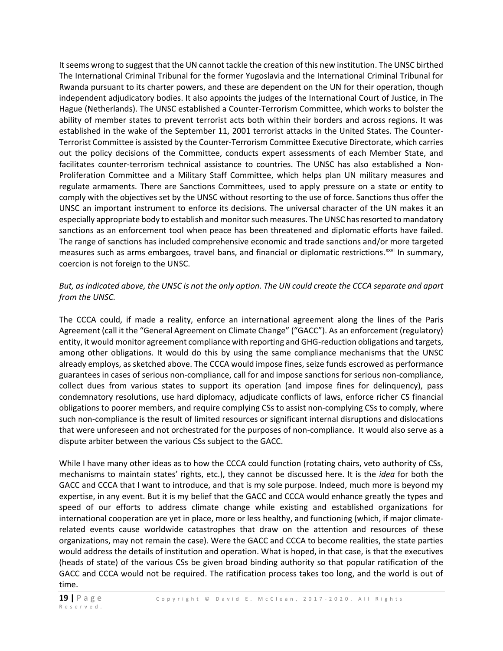It seems wrong to suggest that the UN cannot tackle the creation of this new institution. The UNSC birthed The International Criminal Tribunal for the former Yugoslavia and the International Criminal Tribunal for Rwanda pursuant to its charter powers, and these are dependent on the UN for their operation, though independent adjudicatory bodies. It also appoints the judges of the International Court of Justice, in The Hague (Netherlands). The UNSC established a Counter-Terrorism Committee, which works to bolster the ability of member states to prevent terrorist acts both within their borders and across regions. It was established in the wake of the September 11, 2001 terrorist attacks in the United States. The Counter-Terrorist Committee is assisted by the Counter-Terrorism Committee Executive Directorate, which carries out the policy decisions of the Committee, conducts expert assessments of each Member State, and facilitates counter-terrorism technical assistance to countries. The UNSC has also established a [Non-](http://www.un.org/en/sc/1540/)[Proliferation Committee](http://www.un.org/en/sc/1540/) and a [Military Staff Committee,](https://www.un.org/sc/suborg/en/subsidiary/msc) which helps plan UN military measures and regulate armaments. There are Sanctions Committees, used to apply pressure on a state or entity to comply with the objectives set by the UNSC without resorting to the use of force. Sanctions thus offer the UNSC an important instrument to enforce its decisions. The universal character of the UN makes it an especially appropriate body to establish and monitor such measures. The UNSC has resorted to mandatory sanctions as an enforcement tool when peace has been threatened and diplomatic efforts have failed. The range of sanctions has included comprehensive economic and trade sanctions and/or more targeted measures such as arms embargoes, travel bans, and financial or diplomatic restrictions.<sup>xxvi</sup> In summary, coercion is not foreign to the UNSC.

# *But, as indicated above, the UNSC is not the only option. The UN could create the CCCA separate and apart from the UNSC.*

The CCCA could, if made a reality, enforce an international agreement along the lines of the Paris Agreement (call it the "General Agreement on Climate Change" ("GACC"). As an enforcement (regulatory) entity, it would monitor agreement compliance with reporting and GHG-reduction obligations and targets, among other obligations. It would do this by using the same compliance mechanisms that the UNSC already employs, as sketched above. The CCCA would impose fines, seize funds escrowed as performance guarantees in cases of serious non-compliance, call for and impose sanctions for serious non-compliance, collect dues from various states to support its operation (and impose fines for delinquency), pass condemnatory resolutions, use hard diplomacy, adjudicate conflicts of laws, enforce richer CS financial obligations to poorer members, and require complying CSs to assist non-complying CSs to comply, where such non-compliance is the result of limited resources or significant internal disruptions and dislocations that were unforeseen and not orchestrated for the purposes of non-compliance. It would also serve as a dispute arbiter between the various CSs subject to the GACC.

While I have many other ideas as to how the CCCA could function (rotating chairs, veto authority of CSs, mechanisms to maintain states' rights, etc.), they cannot be discussed here. It is the *idea* for both the GACC and CCCA that I want to introduce, and that is my sole purpose. Indeed, much more is beyond my expertise, in any event. But it is my belief that the GACC and CCCA would enhance greatly the types and speed of our efforts to address climate change while existing and established organizations for international cooperation are yet in place, more or less healthy, and functioning (which, if major climaterelated events cause worldwide catastrophes that draw on the attention and resources of these organizations, may not remain the case). Were the GACC and CCCA to become realities, the state parties would address the details of institution and operation. What is hoped, in that case, is that the executives (heads of state) of the various CSs be given broad binding authority so that popular ratification of the GACC and CCCA would not be required. The ratification process takes too long, and the world is out of time.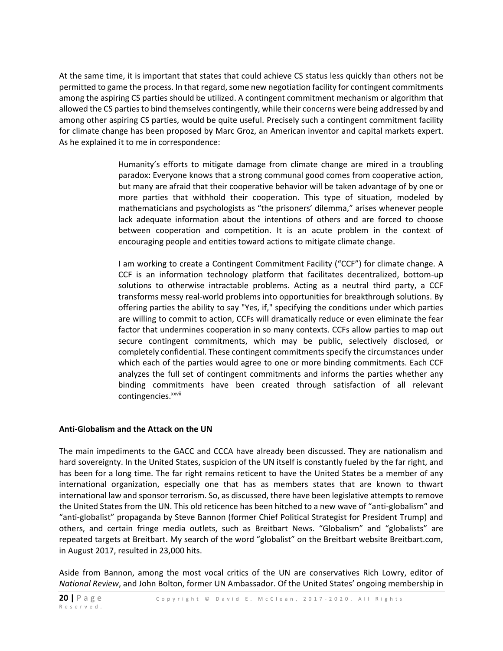At the same time, it is important that states that could achieve CS status less quickly than others not be permitted to game the process. In that regard, some new negotiation facility for contingent commitments among the aspiring CS parties should be utilized. A contingent commitment mechanism or algorithm that allowed the CS parties to bind themselves contingently, while their concerns were being addressed by and among other aspiring CS parties, would be quite useful. Precisely such a contingent commitment facility for climate change has been proposed by Marc Groz, an American inventor and capital markets expert. As he explained it to me in correspondence:

> Humanity's efforts to mitigate damage from climate change are mired in a troubling paradox: Everyone knows that a strong communal good comes from cooperative action, but many are afraid that their cooperative behavior will be taken advantage of by one or more parties that withhold their cooperation. This type of situation, modeled by mathematicians and psychologists as "the prisoners' dilemma," arises whenever people lack adequate information about the intentions of others and are forced to choose between cooperation and competition. It is an acute problem in the context of encouraging people and entities toward actions to mitigate climate change.

> I am working to create a Contingent Commitment Facility ("CCF") for climate change. A CCF is an information technology platform that facilitates decentralized, bottom-up solutions to otherwise intractable problems. Acting as a neutral third party, a CCF transforms messy real-world problems into opportunities for breakthrough solutions. By offering parties the ability to say "Yes, if," specifying the conditions under which parties are willing to commit to action, CCFs will dramatically reduce or even eliminate the fear factor that undermines cooperation in so many contexts. CCFs allow parties to map out secure contingent commitments, which may be public, selectively disclosed, or completely confidential. These contingent commitments specify the circumstances under which each of the parties would agree to one or more binding commitments. Each CCF analyzes the full set of contingent commitments and informs the parties whether any binding commitments have been created through satisfaction of all relevant contingencies.<sup>xxvii</sup>

### **Anti-Globalism and the Attack on the UN**

The main impediments to the GACC and CCCA have already been discussed. They are nationalism and hard sovereignty. In the United States, suspicion of the UN itself is constantly fueled by the far right, and has been for a long time. The far right remains reticent to have the United States be a member of any international organization, especially one that has as members states that are known to thwart international law and sponsor terrorism. So, as discussed, there have been legislative attempts to remove the United States from the UN. This old reticence has been hitched to a new wave of "anti-globalism" and "anti-globalist" propaganda by Steve Bannon (former Chief Political Strategist for President Trump) and others, and certain fringe media outlets, such as Breitbart News. "Globalism" and "globalists" are repeated targets at Breitbart. My search of the word "globalist" on the Breitbart website Breitbart.com, in August 2017, resulted in 23,000 hits.

Aside from Bannon, among the most vocal critics of the UN are conservatives Rich Lowry, editor of *National Review*, and John Bolton, former UN Ambassador. Of the United States' ongoing membership in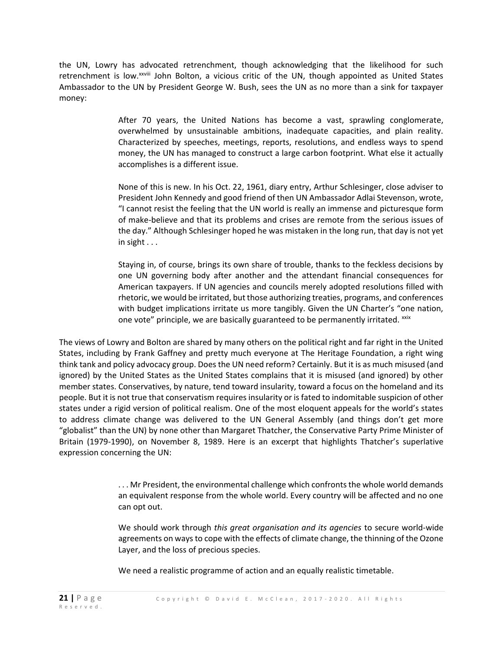the UN, Lowry has advocated retrenchment, though acknowledging that the likelihood for such retrenchment is low. XXVIII John Bolton, a vicious critic of the UN, though appointed as United States Ambassador to the UN by President George W. Bush, sees the UN as no more than a sink for taxpayer money:

> After 70 years, the United Nations has become a vast, sprawling conglomerate, overwhelmed by unsustainable ambitions, inadequate capacities, and plain reality. Characterized by speeches, meetings, reports, resolutions, and endless ways to spend money, the UN has managed to construct a large carbon footprint. What else it actually accomplishes is a different issue.

> None of this is new. In his Oct. 22, 1961, diary entry, Arthur Schlesinger, close adviser to President John Kennedy and good friend of then UN Ambassador Adlai Stevenson, wrote, "I cannot resist the feeling that the UN world is really an immense and picturesque form of make-believe and that its problems and crises are remote from the serious issues of the day." Although Schlesinger hoped he was mistaken in the long run, that day is not yet in sight . . .

> Staying in, of course, brings its own share of trouble, thanks to the feckless decisions by one UN governing body after another and the attendant financial consequences for American taxpayers. If UN agencies and councils merely adopted resolutions filled with rhetoric, we would be irritated, but those authorizing treaties, programs, and conferences with budget implications irritate us more tangibly. Given the UN Charter's "one nation, one vote" principle, we are basically guaranteed to be permanently irritated.  $^{xxix}$

The views of Lowry and Bolton are shared by many others on the political right and far right in the United States, including by Frank Gaffney and pretty much everyone at The Heritage Foundation, a right wing think tank and policy advocacy group. Does the UN need reform? Certainly. But it is as much misused (and ignored) by the United States as the United States complains that it is misused (and ignored) by other member states. Conservatives, by nature, tend toward insularity, toward a focus on the homeland and its people. But it is not true that conservatism requires insularity or is fated to indomitable suspicion of other states under a rigid version of political realism. One of the most eloquent appeals for the world's states to address climate change was delivered to the UN General Assembly (and things don't get more "globalist" than the UN) by none other than Margaret Thatcher, the Conservative Party Prime Minister of Britain (1979-1990), on November 8, 1989. Here is an excerpt that highlights Thatcher's superlative expression concerning the UN:

> . . . Mr President, the environmental challenge which confronts the whole world demands an equivalent response from the whole world. Every country will be affected and no one can opt out.

> We should work through *this great organisation and its agencies* to secure world-wide agreements on ways to cope with the effects of climate change, the thinning of the Ozone Layer, and the loss of precious species.

We need a realistic programme of action and an equally realistic timetable.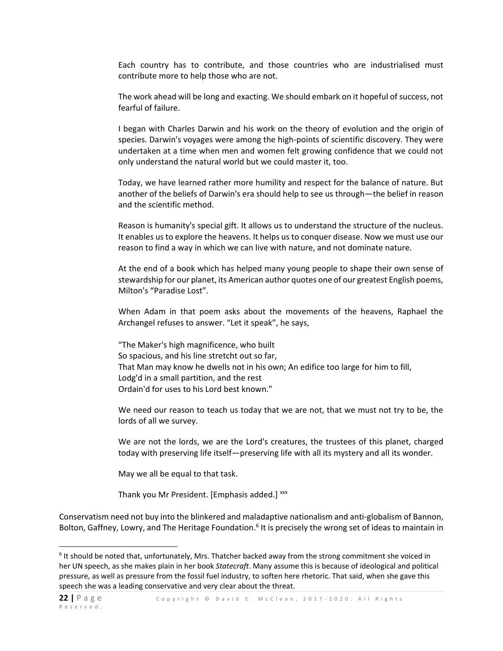Each country has to contribute, and those countries who are industrialised must contribute more to help those who are not.

The work ahead will be long and exacting. We should embark on it hopeful of success, not fearful of failure.

I began with Charles Darwin and his work on the theory of evolution and the origin of species. Darwin's voyages were among the high-points of scientific discovery. They were undertaken at a time when men and women felt growing confidence that we could not only understand the natural world but we could master it, too.

Today, we have learned rather more humility and respect for the balance of nature. But another of the beliefs of Darwin's era should help to see us through—the belief in reason and the scientific method.

Reason is humanity's special gift. It allows us to understand the structure of the nucleus. It enables us to explore the heavens. It helps us to conquer disease. Now we must use our reason to find a way in which we can live with nature, and not dominate nature.

At the end of a book which has helped many young people to shape their own sense of stewardship for our planet, its American author quotes one of our greatest English poems, Milton's "Paradise Lost".

When Adam in that poem asks about the movements of the heavens, Raphael the Archangel refuses to answer. "Let it speak", he says,

"The Maker's high magnificence, who built So spacious, and his line stretcht out so far, That Man may know he dwells not in his own; An edifice too large for him to fill, Lodg'd in a small partition, and the rest Ordain'd for uses to his Lord best known."

We need our reason to teach us today that we are not, that we must not try to be, the lords of all we survey.

We are not the lords, we are the Lord's creatures, the trustees of this planet, charged today with preserving life itself—preserving life with all its mystery and all its wonder.

May we all be equal to that task.

Thank you Mr President. [Emphasis added.] xxx

Conservatism need not buy into the blinkered and maladaptive nationalism and anti-globalism of Bannon, Bolton, Gaffney, Lowry, and The Heritage Foundation.<sup>6</sup> It is precisely the wrong set of ideas to maintain in

<sup>&</sup>lt;sup>6</sup> It should be noted that, unfortunately, Mrs. Thatcher backed away from the strong commitment she voiced in her UN speech, as she makes plain in her book *Statecraft*. Many assume this is because of ideological and political pressure, as well as pressure from the fossil fuel industry, to soften here rhetoric. That said, when she gave this speech she was a leading conservative and very clear about the threat.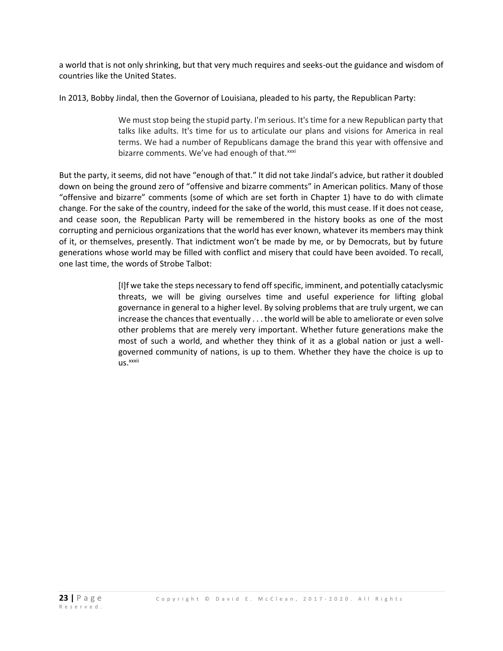a world that is not only shrinking, but that very much requires and seeks-out the guidance and wisdom of countries like the United States.

In 2013, Bobby Jindal, then the Governor of Louisiana, pleaded to his party, the Republican Party:

We must stop being the stupid party. I'm serious. It's time for a new Republican party that talks like adults. It's time for us to articulate our plans and visions for America in real terms. We had a number of Republicans damage the brand this year with offensive and bizarre comments. We've had enough of that. XXXI

But the party, it seems, did not have "enough of that." It did not take Jindal's advice, but rather it doubled down on being the ground zero of "offensive and bizarre comments" in American politics. Many of those "offensive and bizarre" comments (some of which are set forth in Chapter 1) have to do with climate change. For the sake of the country, indeed for the sake of the world, this must cease. If it does not cease, and cease soon, the Republican Party will be remembered in the history books as one of the most corrupting and pernicious organizations that the world has ever known, whatever its members may think of it, or themselves, presently. That indictment won't be made by me, or by Democrats, but by future generations whose world may be filled with conflict and misery that could have been avoided. To recall, one last time, the words of Strobe Talbot:

> [I]f we take the steps necessary to fend off specific, imminent, and potentially cataclysmic threats, we will be giving ourselves time and useful experience for lifting global governance in general to a higher level. By solving problems that are truly urgent, we can increase the chances that eventually . . . the world will be able to ameliorate or even solve other problems that are merely very important. Whether future generations make the most of such a world, and whether they think of it as a global nation or just a wellgoverned community of nations, is up to them. Whether they have the choice is up to us.<sup>xxxii</sup>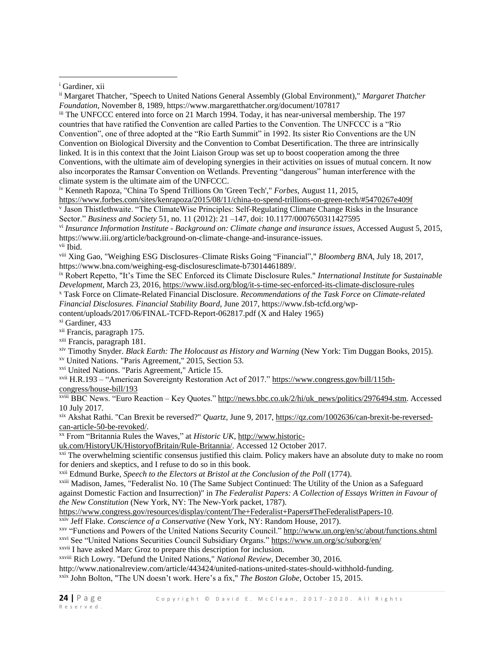iii The UNFCCC entered into force on 21 March 1994. Today, it has near-universal membership. The 197 countries that have ratified the Convention are called Parties to the Convention. The UNFCCC is a "Rio Convention", one of three adopted at the "Rio Earth Summit" in 1992. Its sister Rio Conventions are the UN Convention on Biological Diversity and the Convention to Combat Desertification. The three are intrinsically linked. It is in this context that the Joint Liaison Group was set up to boost cooperation among the three Conventions, with the ultimate aim of developing synergies in their activities on issues of mutual concern. It now also incorporates the Ramsar Convention on Wetlands. Preventing "dangerous" human interference with the climate system is the ultimate aim of the UNFCCC.

iv Kenneth Rapoza, "China To Spend Trillions On 'Green Tech'," *Forbes*, August 11, 2015,

<https://www.forbes.com/sites/kenrapoza/2015/08/11/china-to-spend-trillions-on-green-tech/#5470267e409f> v Jason Thistlethwaite. "The ClimateWise Principles: Self-Regulating Climate Change Risks in the Insurance Sector." *Business and Society* 51, no. 11 (2012): 21 –147, doi: 10.1177/0007650311427595

vi *Insurance Information Institute - Background on: Climate change and insurance issues*, Accessed August 5, 2015, https://www.iii.org/article/background-on-climate-change-and-insurance-issues. vii Ibid.

ix Robert Repetto, "It's Time the SEC Enforced its Climate Disclosure Rules." *International Institute for Sustainable Development*, March 23, 2016,<https://www.iisd.org/blog/it-s-time-sec-enforced-its-climate-disclosure-rules>

<sup>x</sup> Task Force on Climate-Related Financial Disclosure. *Recommendations of the Task Force on Climate-related Financial Disclosures. Financial Stability Board*, June 2017, https://www.fsb-tcfd.org/wp-

content/uploads/2017/06/FINAL-TCFD-Report-062817.pdf (X and Haley 1965)

xi Gardiner, 433

xii Francis, paragraph 175.

xiii Francis, paragraph 181.

xiv Timothy Snyder. *Black Earth: The Holocaust as History and Warning* (New York: Tim Duggan Books, 2015).

xv United Nations. "Paris Agreement," 2015, Section 53.

xvi United Nations. "Paris Agreement," Article 15.

xvii H.R.193 – "American Sovereignty Restoration Act of 2017." [https://www.congress.gov/bill/115th-](https://www.congress.gov/bill/115th-congress/house-bill/193)

[congress/house-bill/193](https://www.congress.gov/bill/115th-congress/house-bill/193)

xviii BBC News. "Euro Reaction – Key Quotes.[" http://news.bbc.co.uk/2/hi/uk\\_news/politics/2976494.stm.](http://news.bbc.co.uk/2/hi/uk_news/politics/2976494.stm) Accessed 10 July 2017.

xix Akshat Rathi. "Can Brexit be reversed?" *Quartz,* June 9, 2017, [https://qz.com/1002636/can-brexit-be-reversed](https://qz.com/1002636/can-brexit-be-reversed-can-article-50-be-revoked/)[can-article-50-be-revoked/.](https://qz.com/1002636/can-brexit-be-reversed-can-article-50-be-revoked/)

xx From "Britannia Rules the Waves," at *Historic UK*, [http://www.historic-](http://www.historic-uk.com/HistoryUK/HistoryofBritain/Rule-Britannia/)

[uk.com/HistoryUK/HistoryofBritain/Rule-Britannia/.](http://www.historic-uk.com/HistoryUK/HistoryofBritain/Rule-Britannia/) Accessed 12 October 2017.

<sup>xxi</sup> The overwhelming scientific consensus justified this claim. Policy makers have an absolute duty to make no room for deniers and skeptics, and I refuse to do so in this book.

xxii Edmund Burke, *Speech to the Electors at Bristol at the Conclusion of the Poll* (1774).

xxiii Madison, James, "Federalist No. 10 (The Same Subject Continued: The Utility of the Union as a Safeguard against Domestic Faction and Insurrection)" in *The Federalist Papers: A Collection of Essays Written in Favour of* 

*the New Constitution* (New York, NY: The New-York packet, 1787).

[https://www.congress.gov/resources/display/content/The+Federalist+Papers#TheFederalistPapers-10.](https://www.congress.gov/resources/display/content/The+Federalist+Papers#TheFederalistPapers-10)

xxiv Jeff Flake. *Conscience of a Conservative* (New York, NY: Random House, 2017).

xxv "Functions and Powers of the United Nations Security Council."<http://www.un.org/en/sc/about/functions.shtml>

xxvi See "United Nations Securities Council Subsidiary Organs."<https://www.un.org/sc/suborg/en/>

xxvii I have asked Marc Groz to prepare this description for inclusion.

xxviii Rich Lowry. "Defund the United Nations," *National Review*, December 30, 2016.

http://www.nationalreview.com/article/443424/united-nations-united-states-should-withhold-funding. xxix John Bolton, "The UN doesn't work. Here's a fix," *The Boston Globe*, October 15, 2015.

<sup>i</sup> Gardiner*,* xii

ii Margaret Thatcher, "Speech to United Nations General Assembly (Global Environment)," *Margaret Thatcher Foundation,* November 8, 1989, https://www.margaretthatcher.org/document/107817

viii Xing Gao, "Weighing ESG Disclosures–Climate Risks Going "Financial"," *Bloomberg BNA*, July 18, 2017, https://www.bna.com/weighing-esg-disclosuresclimate-b73014461889/.